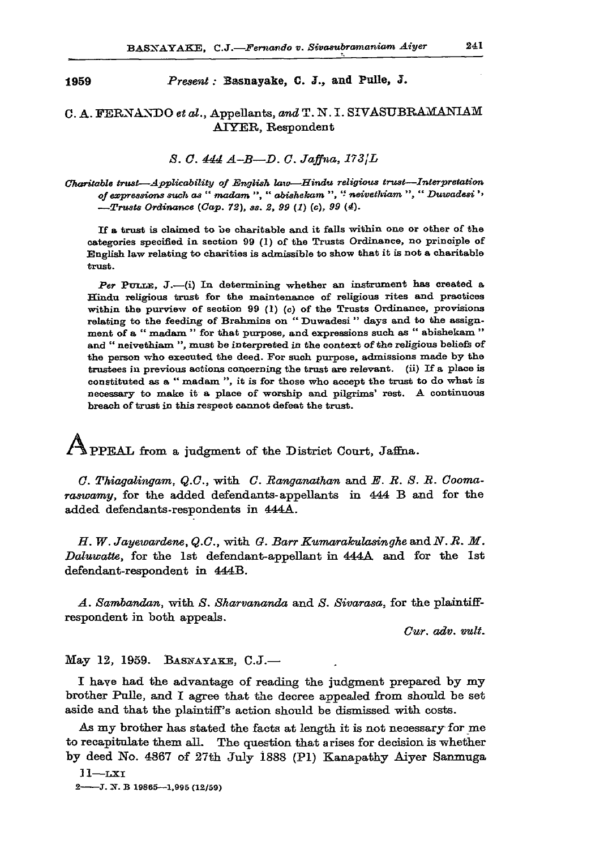**1959** *Present:* **Basnayake, C. J. , and Palle, J .** 

## **C. A. FERNANDO** *et al.,* **Appellants, and T.N. I. SIVASUBRAMANIAM AIYER, Respondent**

*S. G. 444 A-B—D. C. Jaffna, 173JL* 

*Charitable trust—Applicability of English law—Hindu religious trust—Interpretation of expressions such as " madam ", " abishekam ", " neivethiam ", " Duwadesi '< —Trusts Ordinance (Cap. 72), ss. 2, 99 (1) (c), 99 (4).* 

If a trust is claimed to be charitable and it falls within one or other of the categories specified in section 99 (1) of the Trusts Ordinance, no principle of English law relating to charities is admissible to show that it is not a charitable trust.

Per PULLE, J.-(i) In determining whether an instrument has created a Hindu religious trust for the maintenance of religious rites and practices within the purview of section 99 (1) *(c)* of the Trusts Ordinance, provisions relating to the feeding of Brahmins on " Duwadesi " days and to the assignment of a " madam " for that purpose, and expressions such as " abishekam " and " neivethiam ", must be interpreted in the context of the religious beliefs of the person who executed the deed. For such purpose, admissions made by the trustees in previous actions concerning the trust are relevant, (ii) If a place is constituted as a " madam ", it is for those who accept the trust to do what is necessary to make it a place of worship and pilgrims' rest. A continuous breach of trust in this respect cannot defeat the trust.

y**\pPF-AT' from a judgment of the District Court, Jaffna.** 

*G. Thiagalingam, Q.G.,* **with** *G. Banganathan* **and** *E. B. S. B. Goomaraswamy,* **for the added defendants-appellants in 444 B and for the added defendants-respondents in 444A.** 

*H. W. Jayewardene, Q.C.,* with *G. Barr Kumarakulasinghe* and *N.R. M. Daluwatte,* **for the 1st defendant-appellant in 444A and for the 1st defendant-respondent in 444B.** 

*A. Sambandan,* **with** *S. Skarvananda* **and** *S. Sivarasa,* **for the plaintiffrespondent in both appeals.** 

*Cur. adv. mlt.* 

**May 12, 1959. BASNAYAKE, C.J.—** 

**I have had the advantage of reading the judgment prepared by my brother Pulle, and I agree that the decree appealed from should be set aside and that the plaintiff's action should be dismissed with costs.** 

**As my brother has stated the facts at length it is not necessary for me to recapitulate them all. The question that arises for decision is whether by deed No. 4867 of 27th July i888 (PI) Kanapathy Aiyer Sanmuga** 

**11—LXI 2 J. X B 19865—1,995 (12/59)**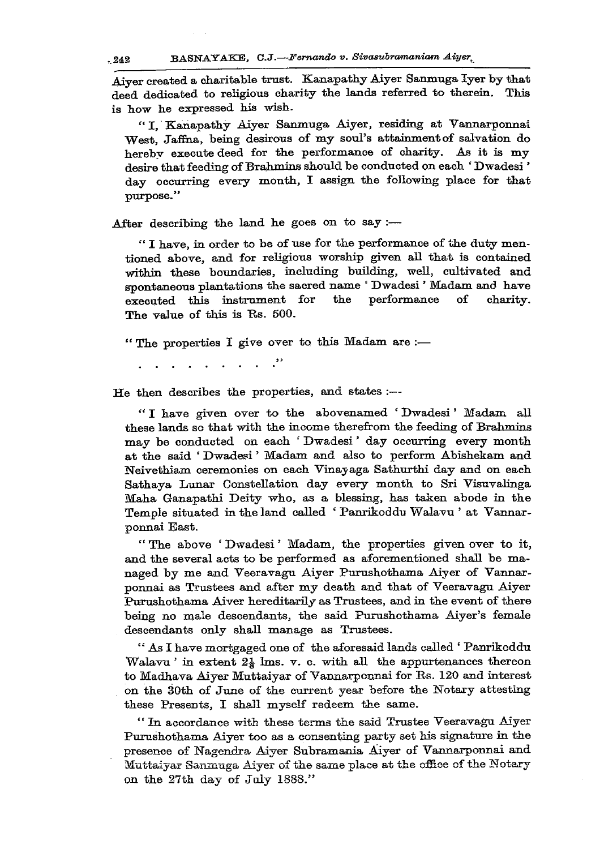**Aiyer created a charitable trust. Kanapathy Aiyer Sanmuga Iyer by that deed dedicated to religious charity the lands referred to therein. This is how he expressed his wish.** 

**" I, Kanapathy Aiyer Sanmuga Aiyer, residing at Vannarponnai West, Jaffna, being desirous of my soul's attainment of salvation do hereby execute deed for the performance of charity. As it is my desire that feeding of Brahmins should be conducted on each ' Dwadesi' day occurring every month, I assign the following place for that purpose."** 

**After describing the land he goes on to say :—** 

**" I have, in order to be of use for the performance of the duty mentioned above, and for religious worship given all that is contained**  within these boundaries, including building, well, cultivated and **spontaneous plantations the sacred name ' Dwadesi' Madam and have executed this instrument for the performance of charity. The value of this is Es. 500.** 

**" The properties I give over to this Madam are :—** 

 $\cdot$ 

**He then describes the properties, and states :—** 

**" I have given over to the abovenamed ' Dwadesi' Madam all these lands so that with the income therefrom the feeding of Brahmins may be conducted on each ' Dwadesi' day occurring every month at the said ' Dwadesi' Madam and also to perform Abishekam and Neivethiam ceremonies on each Vinayaga Sathurthi day and on each Sathaya Lunar Constellation day every month to Sri Visuvalinga Maha Ganapathi Deity who, as a blessing, has taken abode in the Temple situated in the land called ' Panrikoddu Walavu ' at Vannarponnai East.** 

**" The above ' Dwadesi' Madam, the properties given over to it, and the several acts to be performed as aforementioned shall be managed by me and Veeravagu Aiyer Purushothama Aiyer of Vannarponnai as Trustees and after my death and that of Veeravagu Aiyer Purushothama Aiver hereditarily as Trustees, and in the event of there being no male descendants, the said Purushothama Aiyer's female descendants only shall manage as Trustees.** 

**" As I have mortgaged one of the aforesaid lands called ' Panrikoddu**  Walavu ' in extent 2<sup>1</sup> lms. v. c. with all the appurtenances thereon **to Madhava Aiyer Muttaiyar of Vannarponnai for Rs. 120 and interest on the 30th of June of the current year before the Notary attesting these Presents, I shall myself redeem the same.** 

**" In accordance with these terms the said Trustee Veeravagu Aiyer Purushothama Aiyer too as a consenting party set his signature in the presence of Nagendra Aiyer Subramania Aiyer of Vannarponnai and Muttaiyar Sanmuga Aiyer of the same place at the oiHce of the Notary on the 27th day of July 1888."** 

 $.242$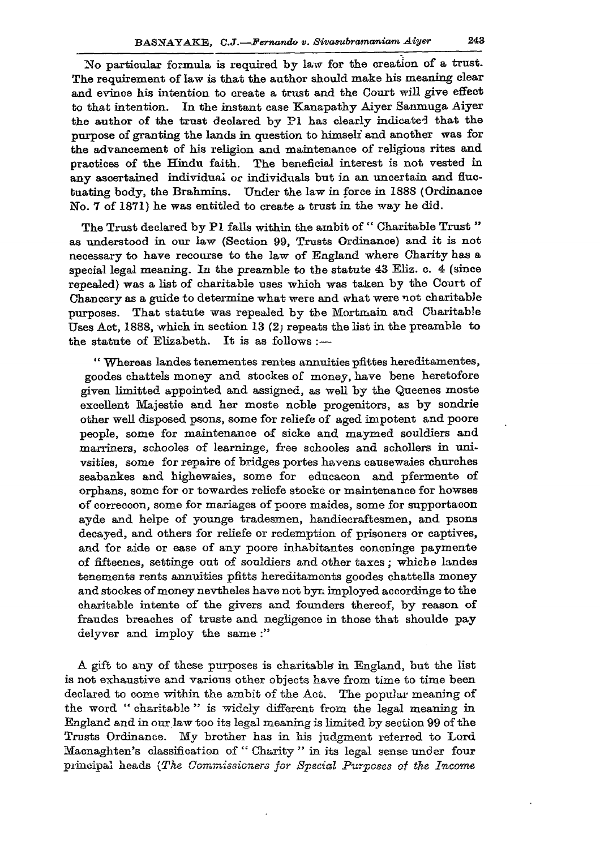**No particular formula is required by law for the creation of a trust. The requirement of law is that the author should make his meaning clear and evince his intention to create a trust and the Court will give effect to that intention. In the instant case Kanapathy Aiyer Sanmuga Aiyer the author of the trust declared by PI has clearly indicated that the purpose of granting the lands in question to himself and another was for the advancement of his religion and maintenance of religious rites and practices of the Hindu faith. The beneficial interest is not vested in**  any ascertained individual or individuals but in an uncertain and fluc**tuating body, the Brahmins. Under the law in force in 188S (Ordinance No. 7 of 1871) he was entitled to create a trust in the way he did.** 

**The Trust declared by PI falls within the ambit of " Charitable Trust " as understood in our law (Section 99, Trusts Ordinance) and it is not necessary to have recourse to the law of England where Charity has a special legal meaning. In the preamble to the statute 43 Eliz. c. 4 (since repealed) was a fist of charitable uses which was taken by the Court of Chancery as a guide to determine what were and what were not charitable purposes. That statute was repealed by the Mortmain and Charitable Uses Act, 1888, which in section 13 (2; repeats the list in the preamble to the statute of Elizabeth. It is as follows :—** 

**" Whereas landes tenementes rentes annuities pfittes hereditamentes, goodes chattels money and stockes of money, have bene heretofore given limitted appointed and assigned, as well by the Queenes moste excellent Majestie and her moste noble progenitors, as by sondrie other well disposed psons, some for reliefe of aged impotent and poore people, some for maintenance of sicke and maymed souldiers and**  marriners, schooles of learninge, free schooles and schollers in uni**vsities, some for repaire of bridges portes havens causewaies churches seabankes and highewaies, some for educacon and pfermente of orphans, some for or towardes reliefe stoeke or maintenance for howses of correccon, some for mariages of poore maides, some for supportacon ayde and helpe of younge tradesmen, handiecraftesmen, and psons decayed, and others for reliefe or redemption of prisoners or captives, and for aide or ease of any poore inhabitantes concninge paymente**  of fifteenes, settinge out of souldiers and other taxes; whiche landes **tenements rents annuities pfitts hereditaments goodes chattells money and stockes of money nevtheles have not byn imployed accordinge to the charitable intente of the givers and founders thereof, by reason of fraudes breaches of truste and negligence in those that shoulde pay delyver and imploy the same :"** 

**A gift to any of these purposes is charitable in England, but the list is not exhaustive and various other objects have from time to time been declared to come within the ambit of the Act. The popular meaning of the word " charitable " is widely different from the legal meaning in England and in our law too its legal meaning is limited by section 99 of the**  Trusts Ordinance. My brother has in his judgment referred to Lord **Macnaghten's classification of " Charity " in its legal sense under four principal heads** *{The Commissioners for Special Purposes of the Income*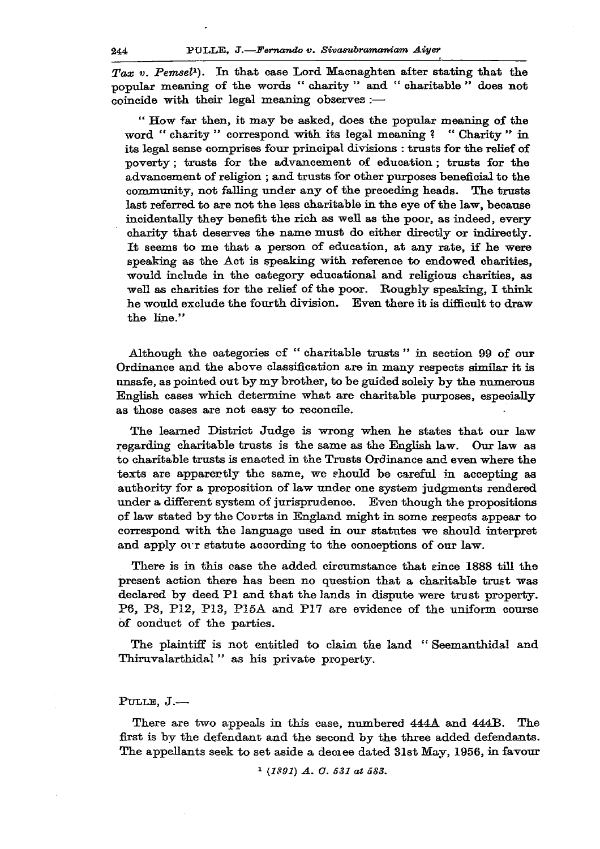*Tax v. Pemsel<sup>1</sup> ). In* **that case Lord Macnaghten alter stating that the popular meaning of the words " charity " and " charitable " does not coincide with their legal meaning observes :—** 

**" How far then, it may be asked, does the popular meaning of the word " charity " correspond with its legal meaning ? " Charity " in its legal sense comprises four principal divisions : trusts for the relief of poverty; trusts for the advancement of education; trusts for the advancement of religion ; and trusts for other purposes beneficial to the community, not falling under any of the preceding heads. The trusts last referred to are not the less charitable in the eye of the law, because incidentally they benefit the rich as well as the poor, as indeed, every charity that deserves the name must do either directly or indirectly. It seems to me that a person of education, at any rate, if he were speaking as the Act is speaking with reference to endowed charities, would include in the category educational and religious charities, as well as charities for the relief of the poor. Roughly speaking, I think he would exclude the fourth division. Even there it is difficult to draw the line."** 

**Although the categories of " charitable trusts " in section 99 of our Ordinance and the above classification are in many respects similar it is unsafe, as pointed out by my brother, to be guided solely by the numerous English cases which determine what are charitable purposes, especially as those cases are not easy to reconcile.** 

**The learned District Judge is wrong when he states that our law regarding charitable trusts is the same as the English law. Our law as to charitable trusts is enacted in the Trusts Ordinance and even where the texts are apparently the same, we ehould be careful in accepting as authority for a proposition of law under one system judgments rendered under a different system of jurisprudence. Even though the propositions of law stated by the Courts in England might in some respects appear to correspond with the language used in our statutes we should interpret and apply** *on* **statute according to the conceptions of our law.** 

**There is in this case the added circumstance that since 1888 till the present action there has been no question that a charitable trust was declared by deed PI and that the lands in dispute were trust property. P6, P8, P12, P13, P15A and P17 are evidence of the uniform course of conduct of the parties.** 

**The plaintiff is not entitled to claim the land " Seemanthidal and Thiruvalarthidal " as his private property.** 

## **PULLE, J. —**

**There are two appeals in this case, numbered 444A and 444B. The first is by the defendant and the second by the three added defendants. The appellants seek to set aside a deciee dated 31st May, 1956, in favour** 

*1 (1891) A. O. 531 at 583.*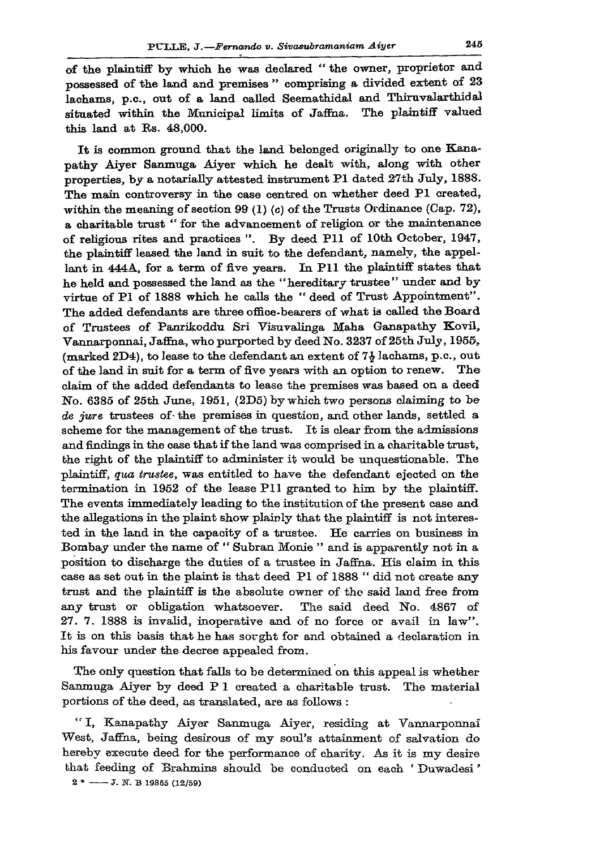**of the plaintiff by which he was declared " the owner, proprietor and possessed of the land and premises " comprising a divided extent of 23**  lachams, p.c., out of a land called Seemathidal and Thiruvalarthidal **situated within the Municipal limits of Jaffna. The plaintiff valued this land at Rs. 48,000.** 

**It is common ground that the land belonged originally to one Kanapathy Aiyer Sanmuga Aiyer which he dealt with, along with other properties, by a notarially attested instrument PI dated 27th July, 1888. The main controversy in the case centred on whether deed PI created, within the meaning of section 99 (1) (c) of the Trusts Ordinance (Cap. 72), a charitable trust " for the advancement of religion or the maintenance of religious rites and practices ". By deed Pll of 10th October, 1947, the plaintiff leased the land in suit to the defendant, namely, the appellant in 444A, for a term of five years. In Pll the plaintiff states that he held and possessed the land as the "hereditary trustee" under and by virtue of PI of 1888 which he calls the " deed of Trust Appointment". The added defendants are three office-bearers of what is called the Board of Trustees of Panrikoddu Sri Visuvalinga Maha Ganapathy Kovil, Vannarponnai, Jaffna, who purported by deed No. 3237 of 25th July, 1955, (marked 2D4), to lease to the defendant an extent of** *1\* **lachams, p.c, out of the land in suit for a term of five years with an option to renew. The claim of the added defendants to lease the premises was based on a deed No. 6385 of 25th June, 1951, (2D5) by which two persons claiming to be**  *de jure* **trustees of-the premises in question, and other lands, settled a scheme for the management of the trust. It is clear from the admissions and findings in the case that if the land was comprised in a charitable trust, the right of the plaintiff to administer it would be unquestionable. The plaintiff,** *qua trustee,* **was entitled to have the defendant ejected on the termination in 1952 of the lease Pll granted to him by the plaintiff. The events immediately leading to the institution of the present case and the allegations in the plaint show plainly that the plaintiff is not interested in the land in the capacity of a trustee. He carries on business in Bombay under the name of " Subran Monie " and is apparently not in a position to discharge the duties of a trustee in Jaffna. His claim in this case as set out in the plaint is that deed PI of 1888 " did not create any trust and the plaintiff is the absolute owner of the said land free from any trust or obligation whatsoever. The said deed No. 4867 of 27. 7. 1888 is invalid, inoperative and of no force or avail in law". It is on this basis that he has sorght for and obtained a declaration in his favour under the decree appealed from.** 

**The only question that falls to be determined on this appeal is whether Sanmuga Aiyer by deed P 1 created a charitable trust. The material portions of the deed, as translated, are as follows :** 

**" I, Kanapathy Aiyer Sanmuga Aiyer, residing at Vannarponnai West, Jaffna, being desirous of my soul's attainment of salvation do hereby execute deed for the performance of charity. As it is my desire that feeding of Brahmins should be conducted on each ' Duwadesi'**   $2 \div \leftarrow -J$ . N. B 19865 (12/59)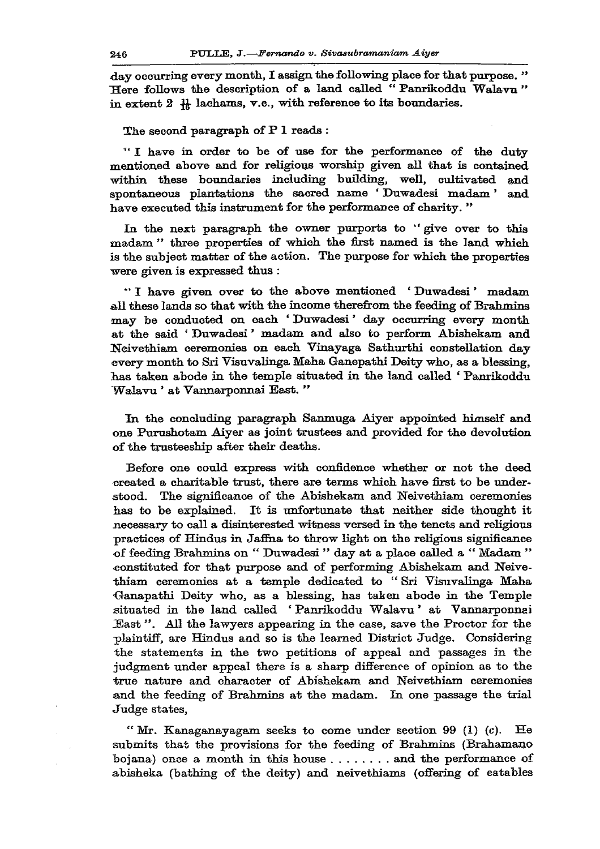**day occurring every month, I assign the following place for that purpose. "**  Here follows the description of a land called "Panrikoddu Walavu" in extent  $2 \frac{11}{6}$  lachams, v.c., with reference to its boundaries.

**The second paragraph of P 1 reads :** 

**" I have in order to be of use for the performance of the duty mentioned above and for religious worship given all that is contained within these boundaries including building, well, cultivated and spontaneous plantations the sacred name ' Duwadesi madam' and have executed this instrument for the performance of charity. "** 

**In the next paragraph the owner purports to " give over to this madam " three properties of which the first named is the land which is the subject matter of the action. The purpose for which the properties were given is expressed thus :** 

**\*' I have given over to the above mentioned ' Duwadesi' madam all these lands so that with the income therefrom the feeding of Brahmins may be conducted on each ' Duwadesi' day occurring every month at the said ' Duwadesi' madam and also to perform Abishekam and Neivethiam ceremonies on each Vinayaga Sathurthi constellation day every month to Sri Visuvalinga Maha Ganepathi Deity who, as a blessing, has taken abode in the temple situated in the land called ' Panrikoddu Walavu ' at Vannarponnai East. "** 

**In the concluding paragraph Sanmuga Aiyer appointed himself and one Purushotam Aiyer as joint trustees and provided for the devolution of the trusteeship after their deaths.** 

**Before one could express with confidence whether or not the deed created a charitable trust, there are terms which have first to be understood. The significance of the Abishekam and Neivethiam ceremonies has to be explained. It is unfortunate that neither side thought it necessary to call a disinterested witness versed in the tenets and religious practices of Hindus in Jaffna to throw light on the religious significance of feeding Brahmins on " Duwadesi" day at a place called a " Madam " constituted for that purpose and of performing Abishekam and Neivethiam ceremonies at a temple dedicated to "Sri Visuvalinga- Maha Ganapathi Deity who, as a blessing, has taken abode in the Temple situated in the land called ' Panrikoddu Walavu' at Vannarponnai East". All the lawyers appearing in the case, save the Proctor for the plaintiff, are Hindus and so is the learned District Judge. Considering the statements in the two petitions of appeal and passages in the judgment under appeal there is a sharp difference of opinion as to the true nature and character of Abishekam and Neivethiam ceremonies and the feeding of Brahmins at the madam. In one passage the trial Judge states,** 

**" Mr. Kanaganayagam seeks to come under section 99 (1) (c). He submits that the provisions for the feeding of Brahmins (Brahamano**  bojana) once a month in this house . . . . . . . . and the performance of **abisheka (bathing of the deity) and neivethiams (offering of eatables**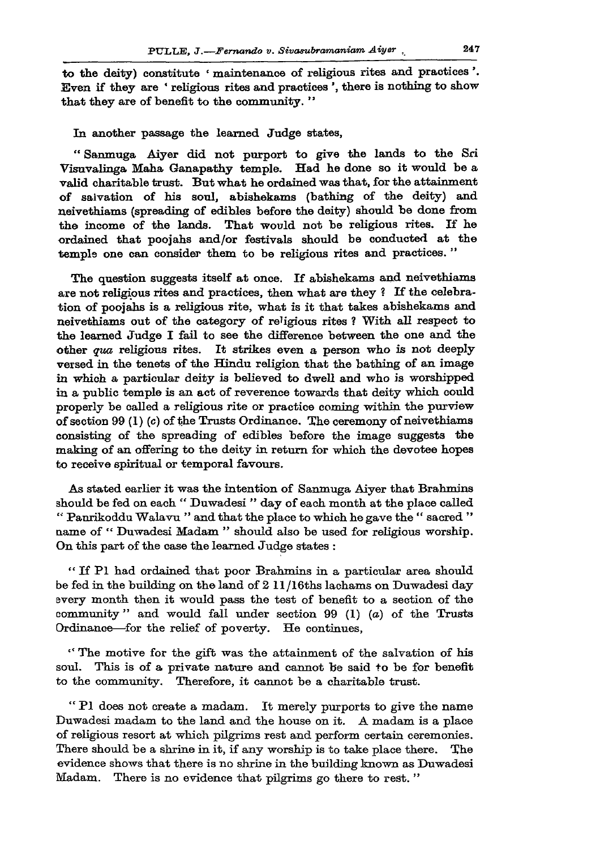**to the deity) constitute • maintenance of religious rites and practices '. Even if they are ' religious rites and practices', there is nothing to show that they are of benefit to the community. "** 

**In another passage the learned Judge states,** 

**" Sanmuga Aiyer did not purport to give the lands to the Sri Visuvalinga Maha Ganapathy temple. Had he done so it would be a valid charitable trust. But what he ordained was that, for the attainment of salvation of his soul, abishekams (bathing of the deity) and neivethiams (spreading of edibles before the deity) should be done from the income of the lands. That would not be religious rites. If he ordained that poojahs and/or festivals should be conducted at the temple one can consider them to be religious rites and practices. "** 

**The question suggests itself at once. If abishekams and neivethiams are not religious rites and practices, then what are they ? If the celebration of poojahs is a religious rite, what is it that takes abishekams and neivethiams out of the category of re'igious rites ? With all respect to the learned Judge I fail to see the difference between the one and the other** *qua* **religious rites. It strikes even a person who is not deeply versed in the tenets of the Hindu religion that the bathing of an image in which a particular deity is believed to dwell and who is worshipped in a public temple is an act of reverence towards that deity which could properly be called a religious rite or practice coming within the purview of section 99 (1) (c) of the Trusts Ordinance. The ceremony of neivethiams consisting of the spreading of edibles before the image suggests the making of an offering to the deity in return for which the devotee hopes to receive spiritual or temporal favours.** 

**As stated earlier it was the intention of Sanmuga Aiyer that Brahmins should be fed on each " Duwadesi " day of each month at the place called "' Panrikoddu Walavu " and that the place to which he gave the " sacred " name of " Duwadesi Madam " should also be used for religious worship. On this part of the case the learned Judge states :** 

**" If PI had ordained that poor Brahmins in a particular area should be fed in the building on the land of 2 11 /16ths lachams on Duwadesi day every month then it would pass the test of benefit to a section of the community" and would fall under section 99 (1) (a) of the Trusts Ordinance—for the relief of poverty. He continues,** 

**" The motive for the gift was the attainment of the salvation of his soul. This is of a private nature and cannot be said to be for benefit to the community. Therefore, it cannot be a charitable trust.** 

**" PI does not create a madam. It merely purports to give the name Duwadesi madam to the land and the house on it. A madam is a place of religious resort at which pilgrims rest and perform certain ceremonies. There should be a shrine in it, if any worship is to take place there. The evidence shows that there is no shrine in the building known as Duwadesi Madam. There is no evidence that pilgrims go there to rest. "**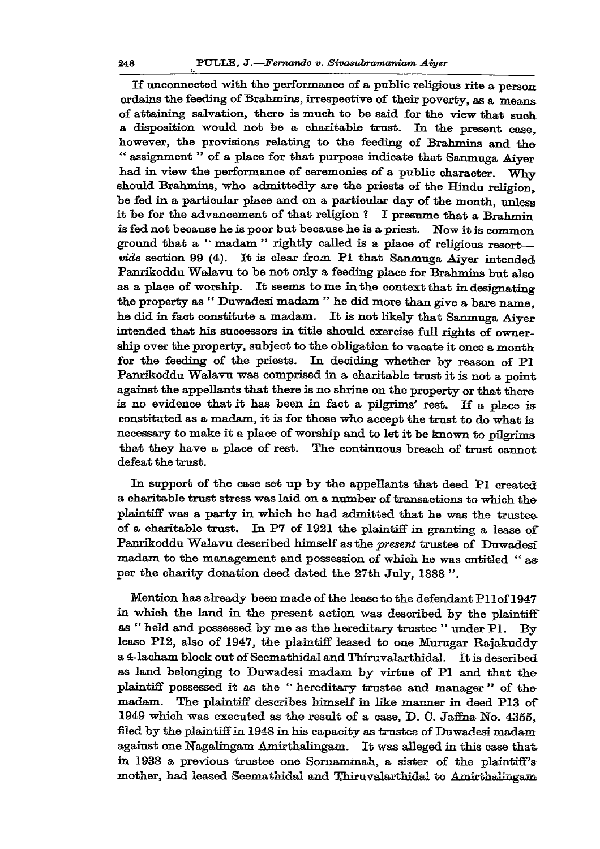**if unconnected with the performance of a public religions rite a person ordains the feeding of Brahmins, irrespective of their poverty, as a means of attaining salvation, there is much to be said for the view that such, a disposition would not be a charitable trust. In the present case, however, the provisions relating to the feeding of Bralnnins and the " assignment " of a place for that purpose indicate that Sanmuga Aiyer had in view the performance of ceremonies of a public character. Why should Brahmins, who admittedly are the priests of the Hindu religion, be fed in a particular place and on a particular day of the month, unless it be for the advancement of that religion ? I presume that a Brahmin is fed not because he is poor but because he is a priest. Now it is common ground that a '\* madam " rightly called is a place of religious resort**  *vide* **section 99 (4). It is clear from PI that Sanmuga Aiyer intended Panrikoddu Walavu to be not only a feeding place for Brahmins but also as a place of worship. It seems tome in the context that in designating the property as " Duwadesi madam " he did more than give a bare name, he did in fact constitute a madam. It is not likely that Sanmuga Aiyer intended that his successors in title should exercise full rights of ownership over the property, subject to the obligation to vacate it once a month for the feeding of the priests. In deciding whether by reason of PI Panrikoddu Walavu was comprised in a charitable trust it is not a point against the appellants that there is no shrine on the property or that there is no evidence that it has been in fact a pilgrims' rest. If a place is constituted as a madam, it is for those who accept the trust to do what is necessary to make it a place of worship and to let it be known to pilgrims that they have a place of rest. The continuous breach of trust cannot defeat the trust.** 

**In support of the case set up by the appellants that deed Pi created a charitable trust stress was laid on a number of transactions to which the plaintiff was a party in which he had admitted that he was the trustee of a charitable trust. In P7 of 1921 the plaintiff in granting a lease of Panrikoddu Walavu described himself as the** *present* **trustee of Duwadesi madam to the management and possession of which he was entitled " as per the charity donation deed dated the 27th July, 1888 ".** 

**Mention has already been made of the lease to the defendant Pllof 1947 in which the land in the present action was described by the plaintiff as " held and possessed by me as the hereditary trustee " under PI. By lease P12, also of 1947, the plaintiff leased to one Murugar Rajakuddy a 4-lacham block out of Seemathidal and Thiruvalarthidal. It is described as land belonging to Duwadesi madam by virtue of PI and that the plaintiff possessed it as the " hereditary trustee and manager " of the madam. The plaintiff describes himself in like manner in deed P13 of 1949 which was executed as the result of a case, D. C. Jaffna No. 4355, filed by the plaintiff in 1948 in his capacity as trustee of Duwadesi madam against one Nagalingam Amirthalingam. It was alleged in this case that in 1938 a previous trustee one Sornammah, a sister of the plaintiff's mother, had leased Seemathidal and Thii'uvalarthidal to Amirthalingam**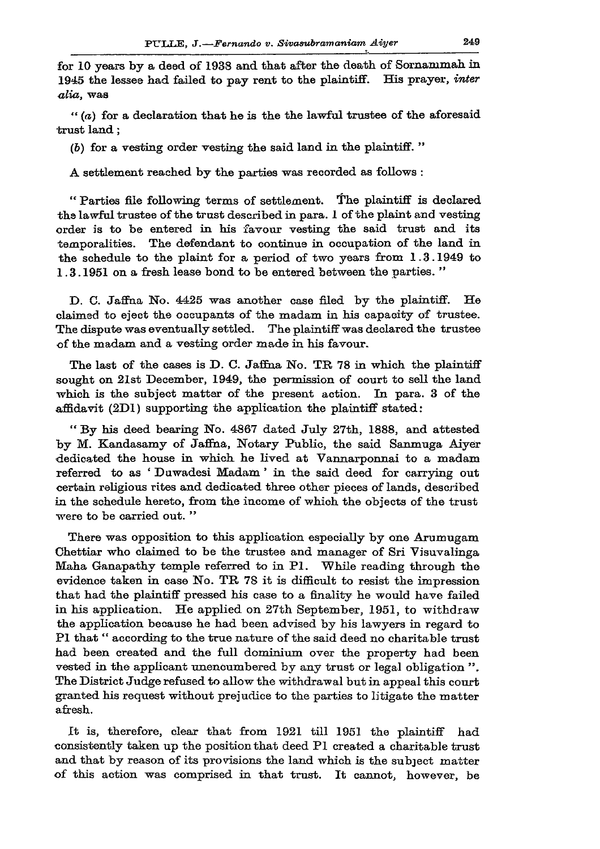**for 10 years by a deed of 1938 and that after the death of Sornammah in 1945 the lessee had failed to pay rent to the plaintiff. His prayer,** *inter alia,* **was** 

*" (a)* **for a declaration that he is the the lawful trustee of the aforesaid trust land;** 

**(6) for a vesting order vesting the said land in the plaintiff. "** 

**A settlement reached by the parties was recorded as follows :** 

**" Parties file following terms of settlement. The plaintiff is declared the lawful trustee of the trust described in para. 1 of the plaint and vesting order is to be entered in bis favour vesting the said trust and its temporalities. The defendant to continue in occupation of the land in the schedule to the plaint for a period of two years from 1.3-1949 to 1.3.1951 on a fresh lease bond to be entered between the parties. "** 

**D. C. Jaffna No. 4425 was another case filed by the plaintiff. He claimed to eject the occupants of the madam in his capacity of trustee. The dispute was eventually settled. The plaintiff was declared the trustee of the madam and a vesting order made in his favour.** 

The last of the cases is D. C. Jaffna No. TR 78 in which the plaintiff **sought on 21st December, 1949, the permission of court to sell the land which is the subject matter of the present action. In para. 3 of the affidavit (2D1) supporting the application the plaintiff stated:** 

**" By his deed bearing No. 4867 dated July 27th, 1888, and attested by M. Kandasamy of Jaffna, Notary Public, the said Sanmuga Aiyer dedicated the house in which he lived at Vannarponnai to a madam referred to as ' Duwadesi Madam' in the said deed for carrying out certain religious rites and dedicated three other pieces of lands, described in the schedule hereto, from the income of which the objects of the trust were to be carried out. "** 

**There was opposition to this application especially by one Arumugam Chettiar who claimed to be the trustee and manager of Sri Visuvalinga Maha Ganapathy temple referred to in PI. While reading through the evidence taken in case No. TP 78 it is difficult to resist the impression that had the plaintiff pressed his case to a finality he would have failed in his application. He applied on 27th September, 1951, to withdraw the application because he had been advised by his lawyers in regard to PI that" according to the true nature of the said deed no charitable trust had been created and the full dominium over the property had been vested in the applicant unencumbered by any trust or legal obligation ". The District Judge refused to allow the withdrawal but in appeal this court granted his request without prejudice to the parties to litigate the matter afresh.** 

**It is, therefore, clear that from 1921 till 1951 the plaintiff had consistently taken up the position that deed PI created a charitable trust and that by reason of its provisions the land which is the subject matter of this action was comprised in that trust. It cannot, however, be**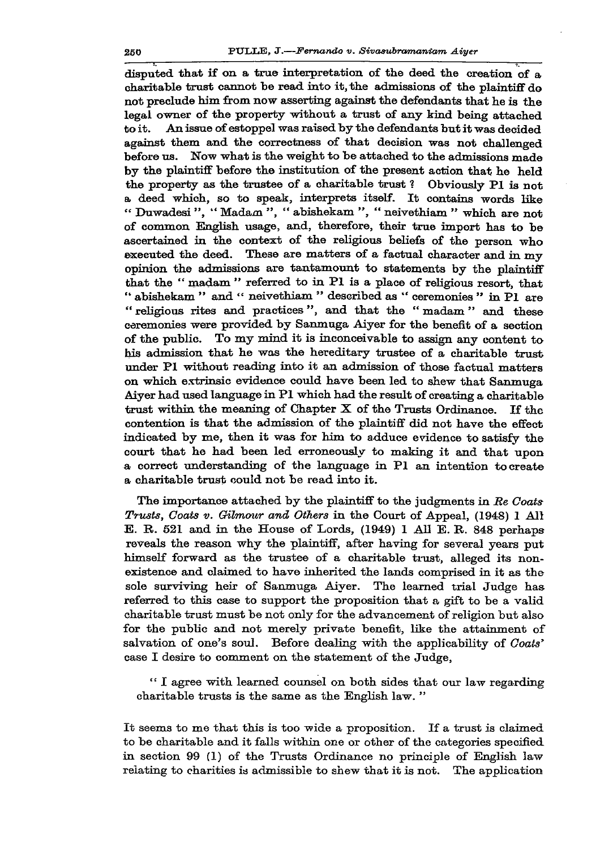**disputed that if on a true interpretation of the deed the creation of a charitable trust cannot be read into it, the admissions of the plaintiff do not preclude him from now asserting against the defendants that he is the legal owner of the property without a trust of any kind being attached to it. An issue of estoppel was raised by the defendants but it was decided against them and the correctness of that decision was not challenged before us. Now what is the weight to be attached to the admissions made by the plaintiff before the institution of the present action that he held the property as the trustee of a charitable trust ? Obviously PI is not a deed which, so to speak, interprets itself. It contains words like " Duwadesi", " Madam ", " abishekam ", " neivethiam " which are not of common English usage, and, therefore, their true import has to be ascertained in the context of the religious beliefs of the person who executed the deed. These are matters of a factual character and in my opinion the aclmissions are tantamount to statements by the plaintiff that the " madam " referred to in PI is a place of religious resort, that " abishekam " and " neivethiam " described as " ceremonies " in PI are " religious rites and practices ", and that the " madam " and these ceremonies were provided by Sanmuga Aiyer for the benefit of a section of the public. To my mind it is inconceivable to assign any content to bis admission that he was the hereditary trustee of a charitable trust under PI without reading into it an admission of those factual matters**  on which extrinsic evidence could have been led to shew that Sanmuga **Aiyer had used language in PI which had the result of creating a charitable trust within the meaning of Chapter X of the Trusts Ordinance. If the contention is that the admission of the plaintiff did not have the effect indicated by me, then it was for him to adduce evidence to satisfy the court that he had been led erroneously to making it and that upon a correct understanding of the language in PI an intention to create a charitable trust could not be read into it.** 

**The importance attached by the plaintiff to the judgments in** *Be Coats Trusts, Coats v. Qilmour and Others* **in the Court of Appeal, (1948) 1 All E. R. 521 and in the House of Lords, (1949) 1 All E. R. 848 perhaps reveals the reason why the plaintiff, after having for several years put himself forward as the trustee of a charitable trust, alleged its nonexistence and claimed to have inherited the lands comprised in it as the sole surviving heir of Sanmuga Aiyer. The learned trial Judge has referred to this case to support the proposition that a gift to be a valid charitable trust must be not only for the advancement of religion but also for the public and not merely private benefit, like the attainment of salvation of one's soul. Before dealing with the applicability of** *Coats'*  **case I desire to comment on the statement of the Judge,** 

**" I agree with learned counsel on both sides that our law regarding charitable trusts is the same as the English law. "** 

**It seems to me that this is too wide a proposition. If a trust is claimed to be charitable and it falls within one or other of the categories specified in section 99 (1) of the Trusts Ordinance no principle of English law relating to charities is admissible to shew that it is not. The application**